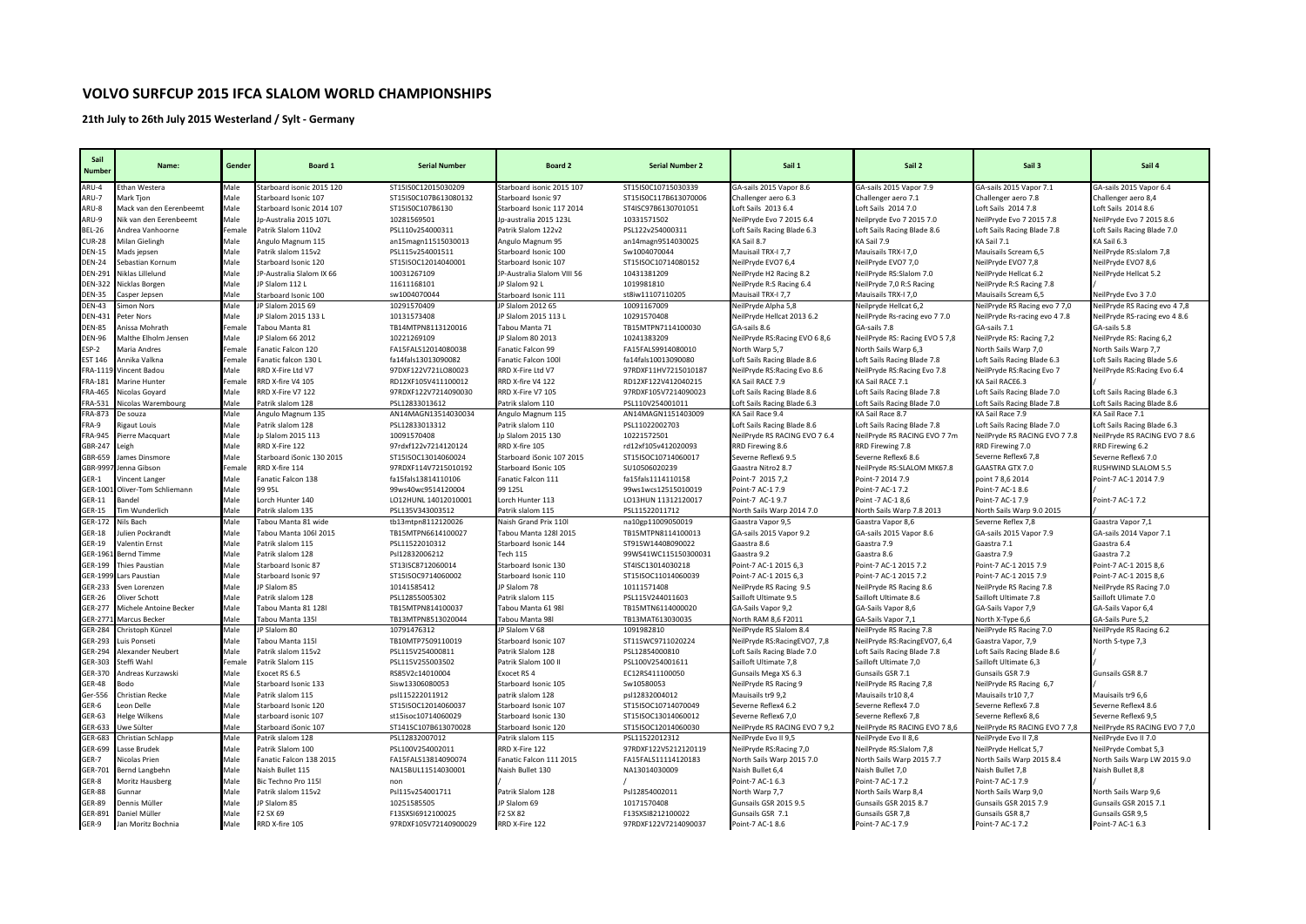## **VOLVO SURFCUP 2015 IFCA SLALOM WORLD CHAMPIONSHIPS**

**21th July to 26th July 2015 Westerland / Sylt - Germany**

| Sail<br><b>Number</b>          | Name:                   | Gender | Board 1                   | <b>Serial Number</b>  | <b>Board 2</b>              | <b>Serial Number 2</b> | Sail 1                         | Sail 2                         | Sail 3                        | Sail 4                                |
|--------------------------------|-------------------------|--------|---------------------------|-----------------------|-----------------------------|------------------------|--------------------------------|--------------------------------|-------------------------------|---------------------------------------|
| ARU-4                          | Ethan Westera           | Male   | Starboard isonic 2015 120 | ST15IS0C12015030209   | Starboard isonic 2015 107   | ST15IS0C10715030339    | GA-sails 2015 Vapor 8.6        | GA-sails 2015 Vapor 7.9        | GA-sails 2015 Vapor 7.1       | GA-sails 2015 Vapor 6.4               |
| ARU-7                          | Mark Tjon               | Male   | Starboard Isonic 107      | ST15IS0C107B613080132 | Starboard Isonic 97         | ST15IS0C117B613070006  | Challenger aero 6.3            | Challenger aero 7.1            | Challenger aero 7.8           | Challenger aero 8,4                   |
| ARU-8                          | Mack van den Eerenbeemt | Male   | Starboard Isonic 2014 107 | ST15IS0C107B6130      | Starboard Isonic 117 2014   | ST4ISC97B6130701051    | Loft Sails 2013 6.4            | Loft Sails 2014 7.0            | Loft Sails 2014 7.8           | Loft Sails 2014 8.6                   |
| ARU-9                          | Nik van den Eerenbeemt  | Male   | Jp-Australia 2015 107L    | 10281569501           | Jp-australia 2015 123L      | 10331571502            | NeilPryde Evo 7 2015 6.4       | Neilpryde Evo 7 2015 7.0       | NeilPryde Evo 7 2015 7.8      | NeilPryde Evo 7 2015 8.6              |
| <b>BEL-26</b>                  | Andrea Vanhoorne        | Female | Patrik Slalom 110v2       | PSL110v254000311      | Patrik Slalom 122v2         | PSL122v254000311       | Loft Sails Racing Blade 6.3    | Loft Sails Racing Blade 8.6    | Loft Sails Racing Blade 7.8   | Loft Sails Racing Blade 7.0           |
| <b>CUR-28</b>                  | Milan Gielingh          | Male   | Angulo Magnum 115         | an15magn11515030013   | Angulo Magnum 95            | an14magn9514030025     | KA Sail 8.7                    | KA Sail 7.9                    | KA Sail 7.1                   | KA Sail 6.3                           |
| <b>DEN-15</b>                  | Aads jepsen             | Male   | Patrik slalom 115v2       | PSL115v254001511      | Starboard Isonic 100        | Sw1004070044           | Mauisail TRX-I 7,7             | Mauisails TRX-I 7,0            | Mauisails Scream 6,5          | NeilPryde RS:slalom 7,8               |
| <b>DEN-24</b>                  | Sebastian Kornum        | Male   | Starboard Isonic 120      | ST15ISOC12014040001   | Starboard Isonic 107        | ST15ISOC10714080152    | NeilPryde EVO7 6,4             | NeilPryde EVO7 7,0             | NeilPryde EVO7 7,8            | NeilPryde EVO7 8,6                    |
| <b>DEN-291</b>                 | Niklas Lillelund        | Male   | JP-Australia Slalom IX 66 | 10031267109           | JP-Australia Slalom VIII 56 | 10431381209            | NeilPryde H2 Racing 8.2        | NeilPryde RS:Slalom 7.0        | NeilPryde Hellcat 6.2         | NeilPryde Hellcat 5.2                 |
| <b>DEN-322</b>                 | Nicklas Borgen          | Male   | JP Slalom 112 L           | 11611168101           | JP Slalom 92 L              | 1019981810             | NeilPryde R:S Racing 6.4       | NeilPryde 7,0 R:S Racing       | NeilPryde R:S Racing 7.8      |                                       |
| <b>DEN-35</b><br><b>DEN-43</b> | asper Jepsen            | Male   | Starboard Isonic 100      | sw1004070044          | Starboard Isonic 111        | st8iw11107110205       | Mauisail TRX-I 7,7             | Mauisails TRX-I 7,0            | Mauisails Scream 6,5          | NeilPryde Evo 37.0                    |
|                                | imon Nors               | Male   | JP Slalom 2015 69         | 10291570409           | JP Slalom 2012 65           | 10091167009            | NeilPryde Alpha 5,8            | Neilpryde Hellcat 6,2          | NeilPryde RS Racing evo 7 7,0 | NeilPryde RS Racing evo 4 7,8         |
| <b>DEN-431</b>                 | eter Nors               | Male   | JP Slalom 2015 133 L      | 10131573408           | JP Slalom 2015 113 L        | 10291570408            | NeilPryde Hellcat 2013 6.2     | NeilPryde Rs-racing evo 7 7.0  | NeilPryde Rs-racing evo 4 7.8 | NeilPryde RS-racing evo 4 8.6         |
| <b>DEN-85</b>                  | Anissa Mohrath          | Female | Tabou Manta 81            | TB14MTPN8113120016    | Tabou Manta 71              | TB15MTPN7114100030     | GA-sails 8.6                   | GA-sails 7.8                   | GA-sails 7.1                  | GA-sails 5.8                          |
| <b>DEN-96</b>                  | Malthe Elholm Jensen    | Male   | P Slalom 66 2012          | 10221269109           | JP Slalom 80 2013           | 10241383209            | NeilPryde RS: Racing EVO 6 8,6 | NeilPryde RS: Racing EVO 5 7,8 | NeilPryde RS: Racing 7,2      | NeilPryde RS: Racing 6,2              |
| ESP-2                          | Maria Andres            | Female | Fanatic Falcon 120        | FA15FALS12014080038   | Fanatic Falcon 99           | FA15FALS9914080010     | North Warp 5,7                 | North Sails Warp 6,3           | North Sails Warp 7,0          | North Sails Warp 7,7                  |
| <b>EST 146</b>                 | Annika Valkna           | Female | Fanatic falcon 130 I      | fa14fals13013090082   | Fanatic Falcon 100l         | fa14fals10013090080    | Loft Sails Racing Blade 8.6    | Loft Sails Racing Blade 7.8    | Loft Sails Racing Blade 6.3   | Loft Sails Racing Blade 5.6           |
| FRA-111                        | Vincent Badou           | Male   | RRD X-Fire Ltd V7         | 97DXF122V721LO80023   | RRD X-Fire Ltd V7           | 97RDXF11HV7215010187   | NeilPryde RS: Racing Evo 8.6   | NeilPryde RS: Racing Evo 7.8   | NeilPryde RS:Racing Evo 7     | NeilPryde RS:Racing Evo 6.4           |
| FRA-181                        | Marine Hunter           | Female | RRD X-fire V4 105         | RD12XF105V411100012   | RRD X-fire V4 122           | RD12XF122V412040215    | KA Sail RACE 7.9               | KA Sail RACE 7.1               | KA Sail RACE6.3               |                                       |
| <b>FRA-465</b>                 | Nicolas Goyard          | Male   | RRD X-Fire V7 122         | 97RDXF122V7214090030  | RRD X-Fire V7 105           | 97RDXF105V7214090023   | Loft Sails Racing Blade 8.6    | Loft Sails Racing Blade 7.8    | Loft Sails Racing Blade 7.0   | Loft Sails Racing Blade 6.3           |
| FRA-531                        | Nicolas Warembourg      | Male   | Patrik slalom 128         | PSL12833013612        | Patrik slalom 110           | PSL110V254001011       | Loft Sails Racing Blade 6.3    | oft Sails Racing Blade 7.0     | Loft Sails Racing Blade 7.8   | oft Sails Racing Blade 8.6            |
| FRA-873                        | e souza                 | Male   | Angulo Magnum 135         | AN14MAGN13514030034   | Angulo Magnum 115           | AN14MAGN1151403009     | KA Sail Race 9.4               | KA Sail Race 8.7               | KA Sail Race 7.9              | <a 7.1<="" race="" sail="" td=""></a> |
| FRA-9                          | ligaut Louis            | Male   | Patrik slalom 128         | PSL12833013312        | Patrik slalom 110           | PSL11022002703         | Loft Sails Racing Blade 8.6    | Loft Sails Racing Blade 7.8    | Loft Sails Racing Blade 7.0   | Loft Sails Racing Blade 6.3           |
| <b>FRA-945</b>                 | Pierre Macquart         | Male   | Jp Slalom 2015 113        | 10091570408           | Jp Slalom 2015 130          | 10221572501            | NeilPryde RS RACING EVO 7 6.4  | NeilPryde RS RACING EVO 7 7m   | NeilPryde RS RACING EVO 7 7.8 | NeilPryde RS RACING EVO 7 8.6         |
| GBR-247                        | eigh                    | Male   | RRD X-Fire 122            | 97rdxf122v7214120124  | RRD X-fire 105              | rd12xf105v412020093    | RRD Firewing 8.6               | RRD Firewing 7.8               | RRD Firewing 7.0              | RRD Firewing 6.2                      |
| GBR-659                        | lames Dinsmore          | Male   | Starboard iSonic 130 2015 | ST15ISOC13014060024   | Starboard iSonic 107 2015   | ST15ISOC10714060017    | Severne Reflex6 9.5            | Severne Reflex6 8.6            | Severne Reflex6 7,8           | Severne Reflex6 7.0                   |
| GBR-9997                       | lenna Gibson            | Female | RRD X-fire 114            | 97RDXF114V7215010192  | Starboard ISonic 105        | SU10506020239          | Gaastra Nitro2 8.7             | NeilPryde RS:SLALOM MK67.8     | GAASTRA GTX 7.0               | RUSHWIND SLALOM 5.5                   |
| GER-1                          | /incent Langer          | Male   | Fanatic Falcon 138        | fa15fals13814110106   | Fanatic Falcon 111          | fa15fals1114110158     | Point-7 2015 7,2               | Point-7 2014 7.9               | point 7 8,6 2014              | Point-7 AC-1 2014 7.9                 |
| GER-100                        | Oliver-Tom Schliemann   | Male   | 99 95L                    | 99ws40wc9514120004    | 99 125L                     | 99ws1wcs12515010019    | Point-7 AC-1 7.9               | Point-7 AC-1 7.2               | Point-7 AC-1 8.6              |                                       |
| GER-11                         | andel                   | Male   | Lorch Hunter 140          | LO12HUNL 14012010001  | Lorch Hunter 113            | LO13HUN 11312120017    | Point-7 AC-19.7                | Point -7 AC-1 8,6              | Point-7 AC-1 7.9              | Point-7 AC-1 7.2                      |
| GER-15                         | im Wunderlich           | Male   | Patrik slalom 135         | PSL135V343003512      | Patrik slalom 115           | PSL11522011712         | North Sails Warp 2014 7.0      | North Sails Warp 7.8 2013      | North Sails Warp 9.0 2015     |                                       |
| GER-172                        | Nils Bach               | Male   | Tabou Manta 81 wide       | tb13mtpn8112120026    | Naish Grand Prix 110        | na10gp11009050019      | Gaastra Vapor 9,5              | Gaastra Vapor 8,6              | Severne Reflex 7,8            | Gaastra Vapor 7,1                     |
| <b>GER-18</b>                  | ulien Pockrandt         | Male   | Tabou Manta 106l 2015     | TB15MTPN6614100027    | Tabou Manta 128l 2015       | TB15MTPN8114100013     | GA-sails 2015 Vapor 9.2        | GA-sails 2015 Vapor 8.6        | GA-sails 2015 Vapor 7.9       | GA-sails 2014 Vapor 7.1               |
| GER-19                         | <b>/alentin Ernst</b>   | Male   | Patrik slalom 115         | PSL11522010312        | Starboard Isonic 144        | ST91SW14408090022      | Gaastra 8.6                    | Gaastra 7.9                    | Gaastra 7.1                   | Gaastra 6.4                           |
| GER-196                        | Bernd Timme             | Male   | Patrik slalom 128         | Psl12832006212        | <b>Tech 115</b>             | 99WS41WC115150300031   | Gaastra 9.2                    | Gaastra 8.6                    | Gaastra 7.9                   | Gaastra 7.2                           |
| GER-199                        | hies Paustian           | Male   | Starboard Isonic 87       | ST13ISC8712060014     | Starboard Isonic 130        | ST4ISC13014030218      | Point-7 AC-1 2015 6,3          | Point-7 AC-1 2015 7.2          | Point-7 AC-1 2015 7.9         | Point-7 AC-1 2015 8,6                 |
| GER-1999                       | ars Paustian            | Male   | Starboard Isonic 97       | ST15ISOC9714060002    | Starboard Isonic 110        | ST15ISOC11014060039    | Point-7 AC-1 2015 6,3          | Point-7 AC-1 2015 7.2          | Point-7 AC-1 2015 7.9         | Point-7 AC-1 2015 8,6                 |
| GER-233                        | ven Lorenzen            | Male   | P Slalom 85               | 10141585412           | JP Slalom 78                | 10111571408            | NeilPryde RS Racing 9.5        | NeilPryde RS Racing 8.6        | NeilPryde RS Racing 7.8       | NeilPryde RS Racing 7.0               |
| <b>GER-26</b>                  | Oliver Schott           | Male   | Patrik slalom 128         | PSL12855005302        | Patrik slalom 115           | PSL115V244011603       | Sailloft Ultimate 9.5          | Sailloft Ultimate 8.6          | Sailloft Ultimate 7.8         | Sailloft Ulimate 7.0                  |
| <b>GER-277</b>                 | Michele Antoine Becker  | Male   | Tabou Manta 81 128        | TB15MTPN814100037     | Tabou Manta 61 98l          | TB15MTN6114000020      | GA-Sails Vapor 9,2             | GA-Sails Vapor 8,6             | GA-Sails Vapor 7,9            | GA-Sails Vapor 6,4                    |
| GER-277                        | Marcus Becker           | Male   | Tabou Manta 135           | TB13MTPN8513020044    | Tabou Manta 98I             | TB13MAT613030035       | North RAM 8,6 F2011            | GA-Sails Vapor 7,1             | North X-Type 6,6              | <b>GA-Sails Pure 5,2</b>              |
| <b>GER-284</b>                 | Christoph Künzel        | Male   | P Slalom 80               | 10791476312           | JP Slalom V 68              | 1091982810             | NeilPryde RS Slalom 8.4        | NeilPryde RS Racing 7.8        | VeilPryde RS Racing 7.0       | NeilPryde RS Racing 6.2               |
| GER-293                        | uis Ponseti             | Male   | Tabou Manta 115l          | TB10MTP7509110019     | Starboard Isonic 107        | ST11SWC9711020224      | NeilPryde RS:RacingEVO7, 7,8   | NeilPryde RS:RacingEVO7, 6,4   | Gaastra Vapor, 7,9            | North S-type 7,3                      |
| <b>GER-294</b>                 | Alexander Neubert       | Male   | Patrik slalom 115v2       | PSL115V254000811      | Patrik Slalom 128           | PSL12854000810         | Loft Sails Racing Blade 7.0    | Loft Sails Racing Blade 7.8    | Loft Sails Racing Blade 8.6   |                                       |
| GER-303                        | iteffi Wahl             | Female | Patrik Slalom 115         | PSL115V255003502      | Patrik Slalom 100 II        | PSL100V254001611       | Sailloft Ultimate 7,8          | Sailloft Ultimate 7,0          | Sailloft Ultimate 6,3         |                                       |
| GER-370                        | Andreas Kurzawski       | Male   | Exocet RS 6.5             | RS85V2c14010004       | <b>Exocet RS 4</b>          | EC12RS411100050        | Gunsails Mega XS 6.3           | Gunsails GSR 7.1               | Gunsails GSR 7.9              | Gunsails GSR 8.7                      |
| <b>GER-48</b>                  | odo                     | Male   | Starboard Isonic 133      | Sisw13306080053       | Starboard Isonic 105        | Sw10580053             | NeilPryde RS Racing 9          | NeilPryde RS Racing 7,8        | NeilPryde RS Racing 6,7       |                                       |
| Ger-556                        | Christian Recke         | Male   | Patrik slalom 115         | psl115222011912       | patrik slalom 128           | psl12832004012         | Mauisails tr9 9,2              | Mauisails tr10 8,4             | Mauisails tr10 7,7            | Mauisails tr9 6,6                     |
| GER-6                          | eon Delle               | Male   | Starboard Isonic 120      | ST15ISOC12014060037   | Starboard Isonic 107        | ST15ISOC10714070049    | Severne Reflex4 6.2            | Severne Reflex4 7.0            | Severne Reflex6 7.8           | Severne Reflex4 8.6                   |
| GER-63                         | <b>Helge Wilkens</b>    | Male   | starboard isonic 107      | st15isoc10714060029   | Starboard Isonic 130        | ST15ISOC13014060012    | Severne Reflex6 7,0            | Severne Reflex6 7,8            | Severne Reflex6 8,6           | Severne Reflex6 9,5                   |
| GER-633<br>GER-683             | Jwe Sülter              | Male   | Starboard iSonic 107      | ST141SC107B613070028  | Starboard Isonic 120        | ST15ISOC12014060030    | NeilPryde RS RACING EVO 7 9,2  | VeilPryde RS RACING EVO 7 8,6  | NeilPryde RS RACING EVO 7 7,8 | NeilPryde RS RACING EVO 7 7,0         |
|                                | Christian Schlapp       | Male   | Patrik slalom 128         | PSL12832007012        | Patrik slalom 115           | PSL11522012312         | NeilPryde Evo II 9,5           | NeilPryde Evo II 8,6           | NeilPryde Evo II 7,8          | NeilPryde Evo II 7.0                  |
| GER-699                        | asse Brudek             | Male   | Patrik Slalom 100         | PSL100V254002011      | RRD X-Fire 122              | 97RDXF122V5212120119   | NeilPryde RS:Racing 7,0        | NeilPryde RS:Slalom 7,8        | NeilPryde Hellcat 5,7         | NeilPryde Combat 5,3                  |
| GER-7                          | <b>Nicolas Prien</b>    | Male   | Fanatic Falcon 138 2015   | FA15FALS13814090074   | Fanatic Falcon 111 2015     | FA15FALS11114120183    | North Sails Warp 2015 7.0      | North Sails Warp 2015 7.7      | North Sails Warp 2015 8.4     | North Sails Warp LW 2015 9.0          |
| GER-701                        | Bernd Langbehn          | Male   | Naish Bullet 115          | NA15BUL11514030001    | Naish Bullet 130            | NA13014030009          | Naish Bullet 6,4               | Naish Bullet 7,0               | Naish Bullet 7,8              | Naish Bullet 8,8                      |
| GER-8                          | Moritz Hausberg         | Male   | Bic Techno Pro 115        | non                   |                             |                        | Point-7 AC-1 6.3               | Point-7 AC-1 7.2               | Point-7 AC-1 7.9              |                                       |
| <b>GER-88</b>                  | Gunnar                  | Male   | Patrik slalom 115v2       | Psl115v254001711      | Patrik Slalom 128           | Psl12854002011         | North Warp 7,7                 | North Sails Warp 8,4           | North Sails Warp 9,0          | North Sails Warp 9,6                  |
| <b>GER-89</b>                  | Dennis Müller           | Male   | JP Slalom 85              | 10251585505           | JP Slalom 69                | 10171570408            | Gunsails GSR 2015 9.5          | Gunsails GSR 2015 8.7          | Gunsails GSR 2015 7.9         | Gunsails GSR 2015 7.1                 |
| GER-891                        | Daniel Müller           | Male   | F2 SX 69                  | F13SXSI6912100025     | F2 SX 82                    | F13SXSI8212100022      | Gunsails GSR 7.1               | Gunsails GSR 7,8               | Gunsails GSR 8,7              | Gunsails GSR 9,5                      |
| GER-9                          | Jan Moritz Bochnia      | Male   | RRD X-fire 105            | 97RDXF105V72140900029 | RRD X-Fire 122              | 97RDXF122V7214090037   | Point-7 AC-1 8.6               | Point-7 AC-1 7.9               | Point-7 AC-1 7.2              | Point-7 AC-1 6.3                      |